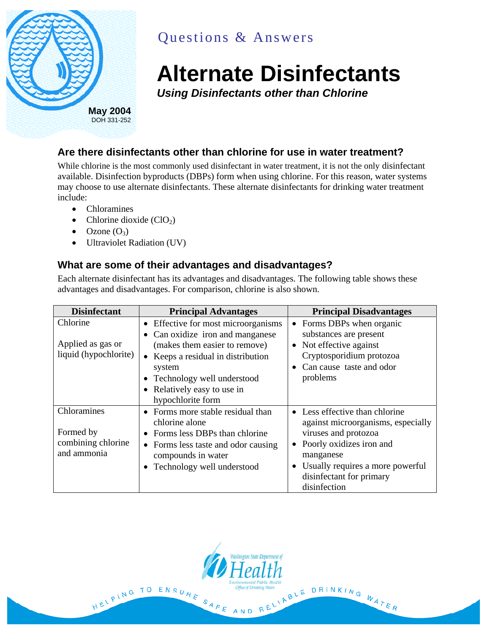

# Questions & Answers

# **Alternate Disinfectants**

*Using Disinfectants other than Chlorine* 

## **Are there disinfectants other than chlorine for use in water treatment?**

While chlorine is the most commonly used disinfectant in water treatment, it is not the only disinfectant available. Disinfection byproducts (DBPs) form when using chlorine. For this reason, water systems may choose to use alternate disinfectants. These alternate disinfectants for drinking water treatment include:

- Chloramines
- Chlorine dioxide  $(CIO<sub>2</sub>)$
- $\bullet$  Ozone  $(O_3)$
- Ultraviolet Radiation (UV)

HELPING TO ENSURE

#### **What are some of their advantages and disadvantages?**

Each alternate disinfectant has its advantages and disadvantages. The following table shows these advantages and disadvantages. For comparison, chlorine is also shown.

| <b>Disinfectant</b>                                           | <b>Principal Advantages</b>                                                                                                                                                                                                                  | <b>Principal Disadvantages</b>                                                                                                                                                                                          |
|---------------------------------------------------------------|----------------------------------------------------------------------------------------------------------------------------------------------------------------------------------------------------------------------------------------------|-------------------------------------------------------------------------------------------------------------------------------------------------------------------------------------------------------------------------|
| Chlorine<br>Applied as gas or<br>liquid (hypochlorite)        | • Effective for most microorganisms<br>• Can oxidize iron and manganese<br>(makes them easier to remove)<br>• Keeps a residual in distribution<br>system<br>• Technology well understood<br>• Relatively easy to use in<br>hypochlorite form | • Forms DBPs when organic<br>substances are present<br>• Not effective against<br>Cryptosporidium protozoa<br>• Can cause taste and odor<br>problems                                                                    |
| Chloramines<br>Formed by<br>combining chlorine<br>and ammonia | • Forms more stable residual than<br>chlorine alone<br>Forms less DBPs than chlorine<br>• Forms less taste and odor causing<br>compounds in water<br>• Technology well understood                                                            | • Less effective than chlorine<br>against microorganisms, especially<br>viruses and protozoa<br>• Poorly oxidizes iron and<br>manganese<br>Usually requires a more powerful<br>disinfectant for primary<br>disinfection |

SAFE AND

INBLE DRINKING WATER